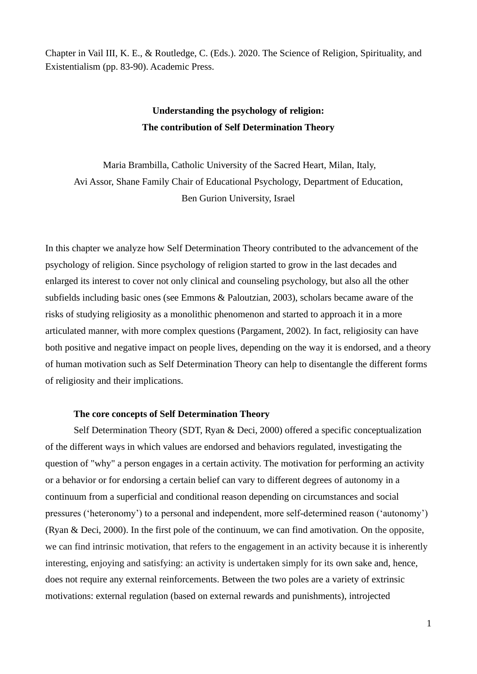Chapter in Vail III, K. E., & Routledge, C. (Eds.). 2020. The Science of Religion, Spirituality, and Existentialism (pp. 83-90). Academic Press.

## **Understanding the psychology of religion: The contribution of Self Determination Theory**

Maria Brambilla, Catholic University of the Sacred Heart, Milan, Italy, Avi Assor, Shane Family Chair of Educational Psychology, Department of Education, Ben Gurion University, Israel

In this chapter we analyze how Self Determination Theory contributed to the advancement of the psychology of religion. Since psychology of religion started to grow in the last decades and enlarged its interest to cover not only clinical and counseling psychology, but also all the other subfields including basic ones (see Emmons & Paloutzian, 2003), scholars became aware of the risks of studying religiosity as a monolithic phenomenon and started to approach it in a more articulated manner, with more complex questions (Pargament, 2002). In fact, religiosity can have both positive and negative impact on people lives, depending on the way it is endorsed, and a theory of human motivation such as Self Determination Theory can help to disentangle the different forms of religiosity and their implications.

#### **The core concepts of Self Determination Theory**

Self Determination Theory (SDT, Ryan & Deci, 2000) offered a specific conceptualization of the different ways in which values are endorsed and behaviors regulated, investigating the question of "why" a person engages in a certain activity. The motivation for performing an activity or a behavior or for endorsing a certain belief can vary to different degrees of autonomy in a continuum from a superficial and conditional reason depending on circumstances and social pressures ('heteronomy') to a personal and independent, more self-determined reason ('autonomy') (Ryan & Deci, 2000). In the first pole of the continuum, we can find amotivation. On the opposite, we can find intrinsic motivation, that refers to the engagement in an activity because it is inherently interesting, enjoying and satisfying: an activity is undertaken simply for its own sake and, hence, does not require any external reinforcements. Between the two poles are a variety of extrinsic motivations: external regulation (based on external rewards and punishments), introjected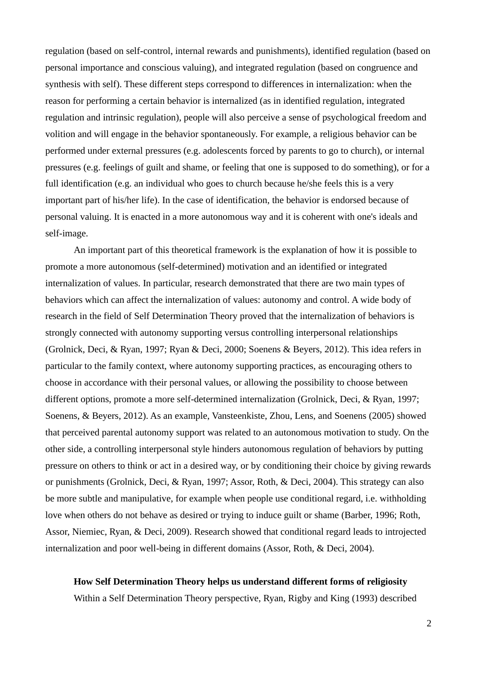regulation (based on self-control, internal rewards and punishments), identified regulation (based on personal importance and conscious valuing), and integrated regulation (based on congruence and synthesis with self). These different steps correspond to differences in internalization: when the reason for performing a certain behavior is internalized (as in identified regulation, integrated regulation and intrinsic regulation), people will also perceive a sense of psychological freedom and volition and will engage in the behavior spontaneously. For example, a religious behavior can be performed under external pressures (e.g. adolescents forced by parents to go to church), or internal pressures (e.g. feelings of guilt and shame, or feeling that one is supposed to do something), or for a full identification (e.g. an individual who goes to church because he/she feels this is a very important part of his/her life). In the case of identification, the behavior is endorsed because of personal valuing. It is enacted in a more autonomous way and it is coherent with one's ideals and self-image.

An important part of this theoretical framework is the explanation of how it is possible to promote a more autonomous (self-determined) motivation and an identified or integrated internalization of values. In particular, research demonstrated that there are two main types of behaviors which can affect the internalization of values: autonomy and control. A wide body of research in the field of Self Determination Theory proved that the internalization of behaviors is strongly connected with autonomy supporting versus controlling interpersonal relationships (Grolnick, Deci, & Ryan, 1997; Ryan & Deci, 2000; Soenens & Beyers, 2012). This idea refers in particular to the family context, where autonomy supporting practices, as encouraging others to choose in accordance with their personal values, or allowing the possibility to choose between different options, promote a more self-determined internalization (Grolnick, Deci, & Ryan, 1997; Soenens, & Beyers, 2012). As an example, Vansteenkiste, Zhou, Lens, and Soenens (2005) showed that perceived parental autonomy support was related to an autonomous motivation to study. On the other side, a controlling interpersonal style hinders autonomous regulation of behaviors by putting pressure on others to think or act in a desired way, or by conditioning their choice by giving rewards or punishments (Grolnick, Deci, & Ryan, 1997; Assor, Roth, & Deci, 2004). This strategy can also be more subtle and manipulative, for example when people use conditional regard, i.e. withholding love when others do not behave as desired or trying to induce guilt or shame (Barber, 1996; Roth, Assor, Niemiec, Ryan, & Deci, 2009). Research showed that conditional regard leads to introjected internalization and poor well-being in different domains (Assor, Roth, & Deci, 2004).

#### **How Self Determination Theory helps us understand different forms of religiosity**

Within a Self Determination Theory perspective, Ryan, Rigby and King (1993) described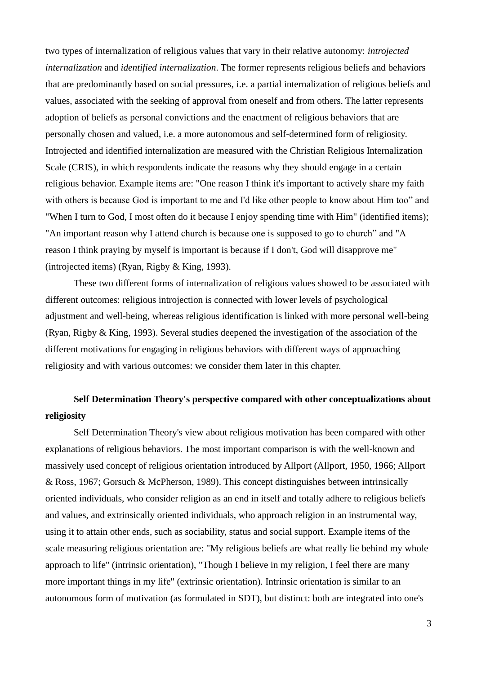two types of internalization of religious values that vary in their relative autonomy: *introjected internalization* and *identified internalization*. The former represents religious beliefs and behaviors that are predominantly based on social pressures, i.e. a partial internalization of religious beliefs and values, associated with the seeking of approval from oneself and from others. The latter represents adoption of beliefs as personal convictions and the enactment of religious behaviors that are personally chosen and valued, i.e. a more autonomous and self-determined form of religiosity. Introjected and identified internalization are measured with the Christian Religious Internalization Scale (CRIS), in which respondents indicate the reasons why they should engage in a certain religious behavior. Example items are: "One reason I think it's important to actively share my faith with others is because God is important to me and I'd like other people to know about Him too" and "When I turn to God, I most often do it because I enjoy spending time with Him" (identified items); "An important reason why I attend church is because one is supposed to go to church" and "A reason I think praying by myself is important is because if I don't, God will disapprove me" (introjected items) (Ryan, Rigby & King, 1993).

These two different forms of internalization of religious values showed to be associated with different outcomes: religious introjection is connected with lower levels of psychological adjustment and well-being, whereas religious identification is linked with more personal well-being (Ryan, Rigby & King, 1993). Several studies deepened the investigation of the association of the different motivations for engaging in religious behaviors with different ways of approaching religiosity and with various outcomes: we consider them later in this chapter.

## **Self Determination Theory's perspective compared with other conceptualizations about religiosity**

Self Determination Theory's view about religious motivation has been compared with other explanations of religious behaviors. The most important comparison is with the well-known and massively used concept of religious orientation introduced by Allport (Allport, 1950, 1966; Allport & Ross, 1967; Gorsuch & McPherson, 1989). This concept distinguishes between intrinsically oriented individuals, who consider religion as an end in itself and totally adhere to religious beliefs and values, and extrinsically oriented individuals, who approach religion in an instrumental way, using it to attain other ends, such as sociability, status and social support. Example items of the scale measuring religious orientation are: "My religious beliefs are what really lie behind my whole approach to life" (intrinsic orientation), "Though I believe in my religion, I feel there are many more important things in my life" (extrinsic orientation). Intrinsic orientation is similar to an autonomous form of motivation (as formulated in SDT), but distinct: both are integrated into one's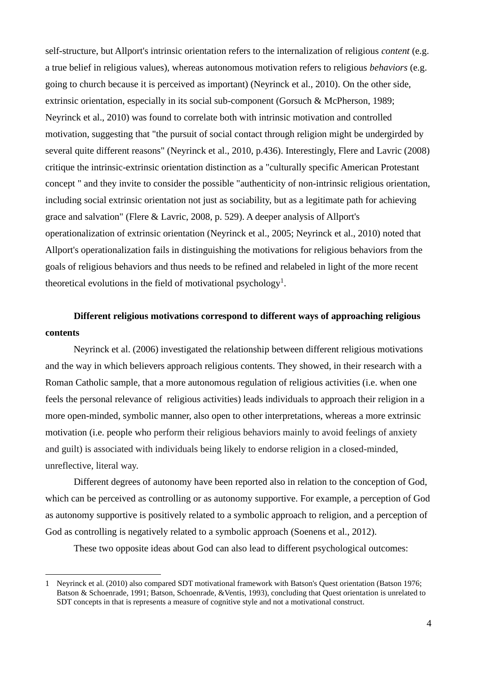self-structure, but Allport's intrinsic orientation refers to the internalization of religious *content* (e.g. a true belief in religious values), whereas autonomous motivation refers to religious *behaviors* (e.g. going to church because it is perceived as important) (Neyrinck et al., 2010). On the other side, extrinsic orientation, especially in its social sub-component (Gorsuch & McPherson, 1989; Neyrinck et al., 2010) was found to correlate both with intrinsic motivation and controlled motivation, suggesting that "the pursuit of social contact through religion might be undergirded by several quite different reasons" (Neyrinck et al., 2010, p.436). Interestingly, Flere and Lavric (2008) critique the intrinsic-extrinsic orientation distinction as a "culturally specific American Protestant concept " and they invite to consider the possible "authenticity of non-intrinsic religious orientation, including social extrinsic orientation not just as sociability, but as a legitimate path for achieving grace and salvation" (Flere & Lavric, 2008, p. 529). A deeper analysis of Allport's operationalization of extrinsic orientation (Neyrinck et al., 2005; Neyrinck et al., 2010) noted that Allport's operationalization fails in distinguishing the motivations for religious behaviors from the goals of religious behaviors and thus needs to be refined and relabeled in light of the more recent theoretical evolutions in the field of motivational psychology<sup>1</sup>.

# **Different religious motivations correspond to different ways of approaching religious contents**

Neyrinck et al. (2006) investigated the relationship between different religious motivations and the way in which believers approach religious contents. They showed, in their research with a Roman Catholic sample, that a more autonomous regulation of religious activities (i.e. when one feels the personal relevance of religious activities) leads individuals to approach their religion in a more open-minded, symbolic manner, also open to other interpretations, whereas a more extrinsic motivation (i.e. people who perform their religious behaviors mainly to avoid feelings of anxiety and guilt) is associated with individuals being likely to endorse religion in a closed-minded, unreflective, literal way.

Different degrees of autonomy have been reported also in relation to the conception of God, which can be perceived as controlling or as autonomy supportive. For example, a perception of God as autonomy supportive is positively related to a symbolic approach to religion, and a perception of God as controlling is negatively related to a symbolic approach (Soenens et al., 2012).

These two opposite ideas about God can also lead to different psychological outcomes:

<sup>1</sup> Neyrinck et al. (2010) also compared SDT motivational framework with Batson's Quest orientation (Batson 1976; Batson & Schoenrade, 1991; Batson, Schoenrade, &Ventis, 1993), concluding that Quest orientation is unrelated to SDT concepts in that is represents a measure of cognitive style and not a motivational construct.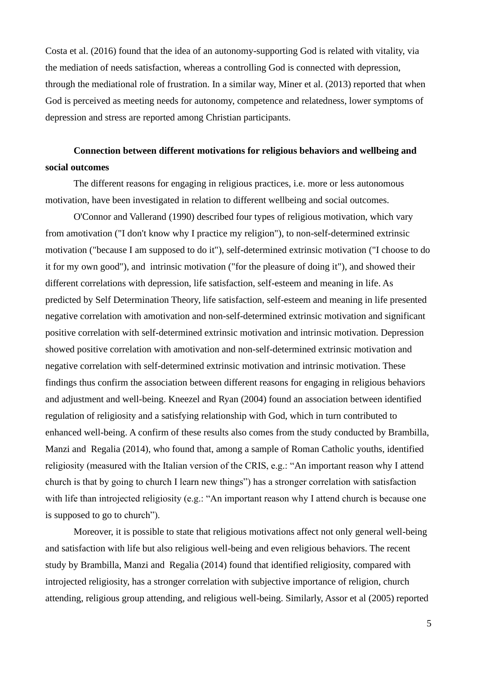Costa et al. (2016) found that the idea of an autonomy-supporting God is related with vitality, via the mediation of needs satisfaction, whereas a controlling God is connected with depression, through the mediational role of frustration. In a similar way, Miner et al. (2013) reported that when God is perceived as meeting needs for autonomy, competence and relatedness, lower symptoms of depression and stress are reported among Christian participants.

## **Connection between different motivations for religious behaviors and wellbeing and social outcomes**

The different reasons for engaging in religious practices, i.e. more or less autonomous motivation, have been investigated in relation to different wellbeing and social outcomes.

O'Connor and Vallerand (1990) described four types of religious motivation, which vary from amotivation ("I don't know why I practice my religion"), to non-self-determined extrinsic motivation ("because I am supposed to do it"), self-determined extrinsic motivation ("I choose to do it for my own good"), and intrinsic motivation ("for the pleasure of doing it"), and showed their different correlations with depression, life satisfaction, self-esteem and meaning in life. As predicted by Self Determination Theory, life satisfaction, self-esteem and meaning in life presented negative correlation with amotivation and non-self-determined extrinsic motivation and significant positive correlation with self-determined extrinsic motivation and intrinsic motivation. Depression showed positive correlation with amotivation and non-self-determined extrinsic motivation and negative correlation with self-determined extrinsic motivation and intrinsic motivation. These findings thus confirm the association between different reasons for engaging in religious behaviors and adjustment and well-being. Kneezel and Ryan (2004) found an association between identified regulation of religiosity and a satisfying relationship with God, which in turn contributed to enhanced well-being. A confirm of these results also comes from the study conducted by Brambilla, Manzi and Regalia (2014), who found that, among a sample of Roman Catholic youths, identified religiosity (measured with the Italian version of the CRIS, e.g.: "An important reason why I attend church is that by going to church I learn new things") has a stronger correlation with satisfaction with life than introjected religiosity (e.g.: "An important reason why I attend church is because one is supposed to go to church").

Moreover, it is possible to state that religious motivations affect not only general well-being and satisfaction with life but also religious well-being and even religious behaviors. The recent study by Brambilla, Manzi and Regalia (2014) found that identified religiosity, compared with introjected religiosity, has a stronger correlation with subjective importance of religion, church attending, religious group attending, and religious well-being. Similarly, Assor et al (2005) reported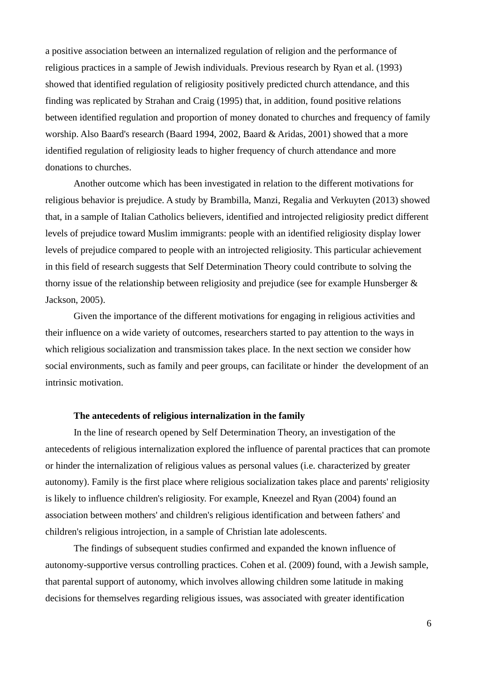a positive association between an internalized regulation of religion and the performance of religious practices in a sample of Jewish individuals. Previous research by Ryan et al. (1993) showed that identified regulation of religiosity positively predicted church attendance, and this finding was replicated by Strahan and Craig (1995) that, in addition, found positive relations between identified regulation and proportion of money donated to churches and frequency of family worship. Also Baard's research (Baard 1994, 2002, Baard & Aridas, 2001) showed that a more identified regulation of religiosity leads to higher frequency of church attendance and more donations to churches.

Another outcome which has been investigated in relation to the different motivations for religious behavior is prejudice. A study by Brambilla, Manzi, Regalia and Verkuyten (2013) showed that, in a sample of Italian Catholics believers, identified and introjected religiosity predict different levels of prejudice toward Muslim immigrants: people with an identified religiosity display lower levels of prejudice compared to people with an introjected religiosity. This particular achievement in this field of research suggests that Self Determination Theory could contribute to solving the thorny issue of the relationship between religiosity and prejudice (see for example Hunsberger & Jackson, 2005).

Given the importance of the different motivations for engaging in religious activities and their influence on a wide variety of outcomes, researchers started to pay attention to the ways in which religious socialization and transmission takes place. In the next section we consider how social environments, such as family and peer groups, can facilitate or hinder the development of an intrinsic motivation.

### **The antecedents of religious internalization in the family**

In the line of research opened by Self Determination Theory, an investigation of the antecedents of religious internalization explored the influence of parental practices that can promote or hinder the internalization of religious values as personal values (i.e. characterized by greater autonomy). Family is the first place where religious socialization takes place and parents' religiosity is likely to influence children's religiosity. For example, Kneezel and Ryan (2004) found an association between mothers' and children's religious identification and between fathers' and children's religious introjection, in a sample of Christian late adolescents.

The findings of subsequent studies confirmed and expanded the known influence of autonomy-supportive versus controlling practices. Cohen et al. (2009) found, with a Jewish sample, that parental support of autonomy, which involves allowing children some latitude in making decisions for themselves regarding religious issues, was associated with greater identification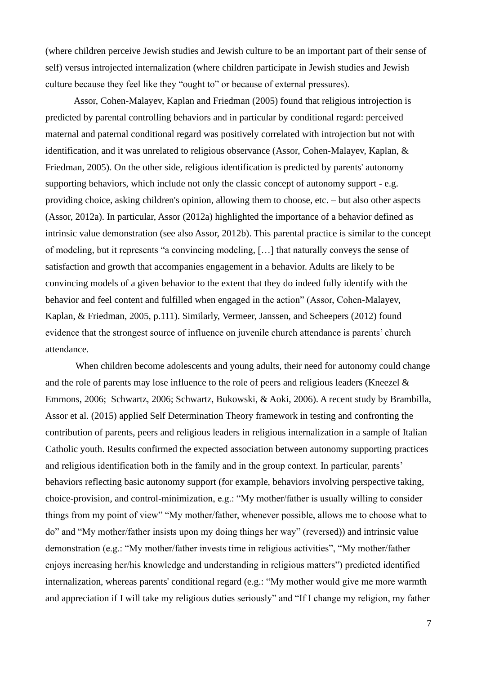(where children perceive Jewish studies and Jewish culture to be an important part of their sense of self) versus introjected internalization (where children participate in Jewish studies and Jewish culture because they feel like they "ought to" or because of external pressures).

Assor, Cohen-Malayev, Kaplan and Friedman (2005) found that religious introjection is predicted by parental controlling behaviors and in particular by conditional regard: perceived maternal and paternal conditional regard was positively correlated with introjection but not with identification, and it was unrelated to religious observance (Assor, Cohen-Malayev, Kaplan, & Friedman, 2005). On the other side, religious identification is predicted by parents' autonomy supporting behaviors, which include not only the classic concept of autonomy support - e.g. providing choice, asking children's opinion, allowing them to choose, etc. – but also other aspects (Assor, 2012a). In particular, Assor (2012a) highlighted the importance of a behavior defined as intrinsic value demonstration (see also Assor, 2012b). This parental practice is similar to the concept of modeling, but it represents "a convincing modeling, […] that naturally conveys the sense of satisfaction and growth that accompanies engagement in a behavior. Adults are likely to be convincing models of a given behavior to the extent that they do indeed fully identify with the behavior and feel content and fulfilled when engaged in the action" (Assor, Cohen-Malayev, Kaplan, & Friedman, 2005, p.111). Similarly, Vermeer, Janssen, and Scheepers (2012) found evidence that the strongest source of influence on juvenile church attendance is parents' church attendance.

When children become adolescents and young adults, their need for autonomy could change and the role of parents may lose influence to the role of peers and religious leaders (Kneezel & Emmons, 2006; Schwartz, 2006; Schwartz, Bukowski, & Aoki, 2006). A recent study by Brambilla, Assor et al. (2015) applied Self Determination Theory framework in testing and confronting the contribution of parents, peers and religious leaders in religious internalization in a sample of Italian Catholic youth. Results confirmed the expected association between autonomy supporting practices and religious identification both in the family and in the group context. In particular, parents' behaviors reflecting basic autonomy support (for example, behaviors involving perspective taking, choice-provision, and control-minimization, e.g.: "My mother/father is usually willing to consider things from my point of view" "My mother/father, whenever possible, allows me to choose what to do" and "My mother/father insists upon my doing things her way" (reversed)) and intrinsic value demonstration (e.g.: "My mother/father invests time in religious activities", "My mother/father enjoys increasing her/his knowledge and understanding in religious matters") predicted identified internalization, whereas parents' conditional regard (e.g.: "My mother would give me more warmth and appreciation if I will take my religious duties seriously" and "If I change my religion, my father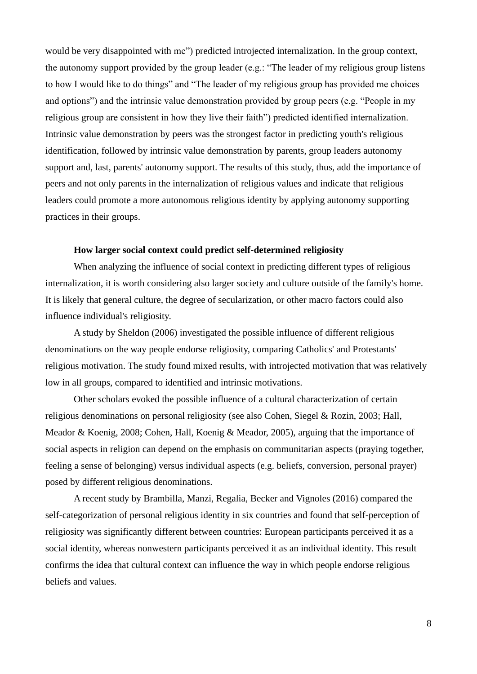would be very disappointed with me") predicted introjected internalization. In the group context, the autonomy support provided by the group leader (e.g.: "The leader of my religious group listens to how I would like to do things" and "The leader of my religious group has provided me choices and options") and the intrinsic value demonstration provided by group peers (e.g. "People in my religious group are consistent in how they live their faith") predicted identified internalization. Intrinsic value demonstration by peers was the strongest factor in predicting youth's religious identification, followed by intrinsic value demonstration by parents, group leaders autonomy support and, last, parents' autonomy support. The results of this study, thus, add the importance of peers and not only parents in the internalization of religious values and indicate that religious leaders could promote a more autonomous religious identity by applying autonomy supporting practices in their groups.

### **How larger social context could predict self-determined religiosity**

When analyzing the influence of social context in predicting different types of religious internalization, it is worth considering also larger society and culture outside of the family's home. It is likely that general culture, the degree of secularization, or other macro factors could also influence individual's religiosity.

A study by Sheldon (2006) investigated the possible influence of different religious denominations on the way people endorse religiosity, comparing Catholics' and Protestants' religious motivation. The study found mixed results, with introjected motivation that was relatively low in all groups, compared to identified and intrinsic motivations.

Other scholars evoked the possible influence of a cultural characterization of certain religious denominations on personal religiosity (see also Cohen, Siegel & Rozin, 2003; Hall, Meador & Koenig, 2008; Cohen, Hall, Koenig & Meador, 2005), arguing that the importance of social aspects in religion can depend on the emphasis on communitarian aspects (praying together, feeling a sense of belonging) versus individual aspects (e.g. beliefs, conversion, personal prayer) posed by different religious denominations.

A recent study by Brambilla, Manzi, Regalia, Becker and Vignoles (2016) compared the self-categorization of personal religious identity in six countries and found that self-perception of religiosity was significantly different between countries: European participants perceived it as a social identity, whereas nonwestern participants perceived it as an individual identity. This result confirms the idea that cultural context can influence the way in which people endorse religious beliefs and values.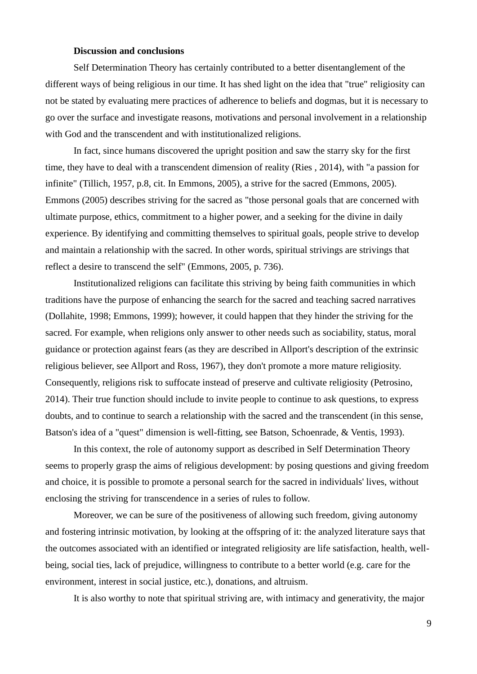### **Discussion and conclusions**

Self Determination Theory has certainly contributed to a better disentanglement of the different ways of being religious in our time. It has shed light on the idea that "true" religiosity can not be stated by evaluating mere practices of adherence to beliefs and dogmas, but it is necessary to go over the surface and investigate reasons, motivations and personal involvement in a relationship with God and the transcendent and with institutionalized religions.

In fact, since humans discovered the upright position and saw the starry sky for the first time, they have to deal with a transcendent dimension of reality (Ries , 2014), with "a passion for infinite" (Tillich, 1957, p.8, cit. In Emmons, 2005), a strive for the sacred (Emmons, 2005). Emmons (2005) describes striving for the sacred as "those personal goals that are concerned with ultimate purpose, ethics, commitment to a higher power, and a seeking for the divine in daily experience. By identifying and committing themselves to spiritual goals, people strive to develop and maintain a relationship with the sacred. In other words, spiritual strivings are strivings that reflect a desire to transcend the self" (Emmons, 2005, p. 736).

Institutionalized religions can facilitate this striving by being faith communities in which traditions have the purpose of enhancing the search for the sacred and teaching sacred narratives (Dollahite, 1998; Emmons, 1999); however, it could happen that they hinder the striving for the sacred. For example, when religions only answer to other needs such as sociability, status, moral guidance or protection against fears (as they are described in Allport's description of the extrinsic religious believer, see Allport and Ross, 1967), they don't promote a more mature religiosity. Consequently, religions risk to suffocate instead of preserve and cultivate religiosity (Petrosino, 2014). Their true function should include to invite people to continue to ask questions, to express doubts, and to continue to search a relationship with the sacred and the transcendent (in this sense, Batson's idea of a "quest" dimension is well-fitting, see Batson, Schoenrade, & Ventis, 1993).

In this context, the role of autonomy support as described in Self Determination Theory seems to properly grasp the aims of religious development: by posing questions and giving freedom and choice, it is possible to promote a personal search for the sacred in individuals' lives, without enclosing the striving for transcendence in a series of rules to follow.

Moreover, we can be sure of the positiveness of allowing such freedom, giving autonomy and fostering intrinsic motivation, by looking at the offspring of it: the analyzed literature says that the outcomes associated with an identified or integrated religiosity are life satisfaction, health, wellbeing, social ties, lack of prejudice, willingness to contribute to a better world (e.g. care for the environment, interest in social justice, etc.), donations, and altruism.

It is also worthy to note that spiritual striving are, with intimacy and generativity, the major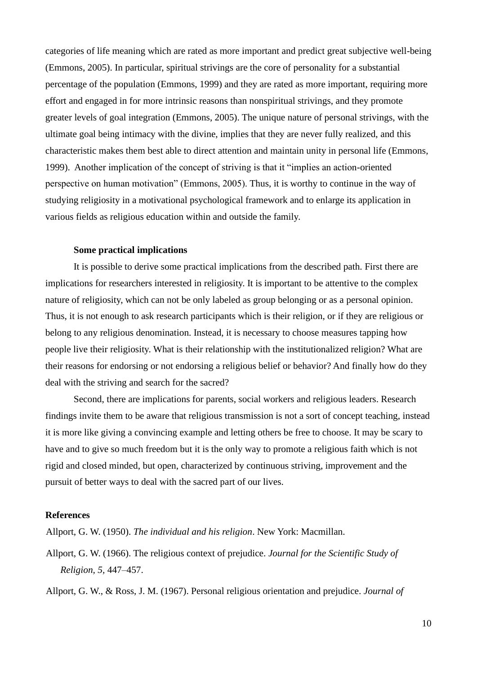categories of life meaning which are rated as more important and predict great subjective well-being (Emmons, 2005). In particular, spiritual strivings are the core of personality for a substantial percentage of the population (Emmons, 1999) and they are rated as more important, requiring more effort and engaged in for more intrinsic reasons than nonspiritual strivings, and they promote greater levels of goal integration (Emmons, 2005). The unique nature of personal strivings, with the ultimate goal being intimacy with the divine, implies that they are never fully realized, and this characteristic makes them best able to direct attention and maintain unity in personal life (Emmons, 1999). Another implication of the concept of striving is that it "implies an action-oriented perspective on human motivation" (Emmons, 2005). Thus, it is worthy to continue in the way of studying religiosity in a motivational psychological framework and to enlarge its application in various fields as religious education within and outside the family.

### **Some practical implications**

It is possible to derive some practical implications from the described path. First there are implications for researchers interested in religiosity. It is important to be attentive to the complex nature of religiosity, which can not be only labeled as group belonging or as a personal opinion. Thus, it is not enough to ask research participants which is their religion, or if they are religious or belong to any religious denomination. Instead, it is necessary to choose measures tapping how people live their religiosity. What is their relationship with the institutionalized religion? What are their reasons for endorsing or not endorsing a religious belief or behavior? And finally how do they deal with the striving and search for the sacred?

Second, there are implications for parents, social workers and religious leaders. Research findings invite them to be aware that religious transmission is not a sort of concept teaching, instead it is more like giving a convincing example and letting others be free to choose. It may be scary to have and to give so much freedom but it is the only way to promote a religious faith which is not rigid and closed minded, but open, characterized by continuous striving, improvement and the pursuit of better ways to deal with the sacred part of our lives.

### **References**

Allport, G. W. (1950). *The individual and his religion*. New York: Macmillan.

Allport, G. W. (1966). The religious context of prejudice. *Journal for the Scientific Study of Religion, 5,* 447–457.

Allport, G. W., & Ross, J. M. (1967). Personal religious orientation and prejudice. *Journal of*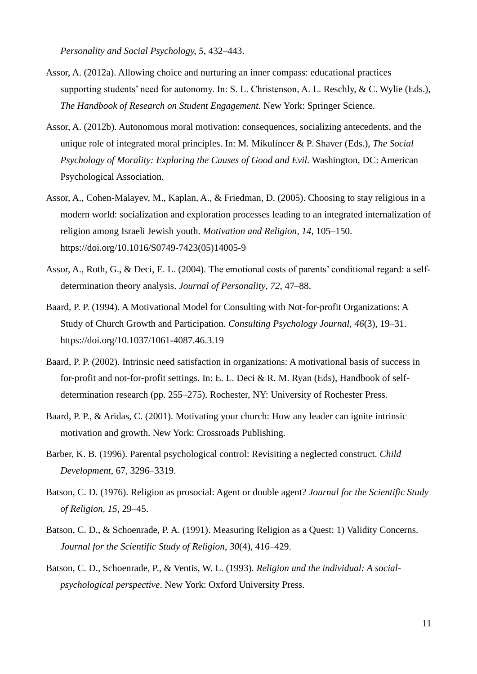*Personality and Social Psychology, 5*, 432–443.

- Assor, A. (2012a). Allowing choice and nurturing an inner compass: educational practices supporting students' need for autonomy. In: S. L. Christenson, A. L. Reschly, & C. Wylie (Eds.), *The Handbook of Research on Student Engagement*. New York: Springer Science.
- Assor, A. (2012b). Autonomous moral motivation: consequences, socializing antecedents, and the unique role of integrated moral principles. In: M. Mikulincer & P. Shaver (Eds.), *The Social Psychology of Morality: Exploring the Causes of Good and Evil.* Washington, DC: American Psychological Association.
- Assor, A., Cohen-Malayev, M., Kaplan, A., & Friedman, D. (2005). Choosing to stay religious in a modern world: socialization and exploration processes leading to an integrated internalization of religion among Israeli Jewish youth. *Motivation and Religion*, *14*, 105–150. https://doi.org/10.1016/S0749-7423(05)14005-9
- Assor, A., Roth, G., & Deci, E. L. (2004). The emotional costs of parents' conditional regard: a selfdetermination theory analysis. *Journal of Personality*, *72*, 47–88.
- Baard, P. P. (1994). A Motivational Model for Consulting with Not-for-profit Organizations: A Study of Church Growth and Participation. *Consulting Psychology Journal*, *46*(3), 19–31. https://doi.org/10.1037/1061-4087.46.3.19
- Baard, P. P. (2002). Intrinsic need satisfaction in organizations: A motivational basis of success in for-profit and not-for-profit settings. In: E. L. Deci & R. M. Ryan (Eds), Handbook of selfdetermination research (pp. 255–275). Rochester, NY: University of Rochester Press.
- Baard, P. P., & Aridas, C. (2001). Motivating your church: How any leader can ignite intrinsic motivation and growth. New York: Crossroads Publishing.
- Barber, K. B. (1996). Parental psychological control: Revisiting a neglected construct. *Child Development*, 67, 3296–3319.
- Batson, C. D. (1976). Religion as prosocial: Agent or double agent? *Journal for the Scientific Study of Religion, 15*, 29–45.
- Batson, C. D., & Schoenrade, P. A. (1991). Measuring Religion as a Quest: 1) Validity Concerns. *Journal for the Scientific Study of Religion*, *30*(4), 416–429.
- Batson, C. D., Schoenrade, P., & Ventis, W. L. (1993). *Religion and the individual: A socialpsychological perspective*. New York: Oxford University Press.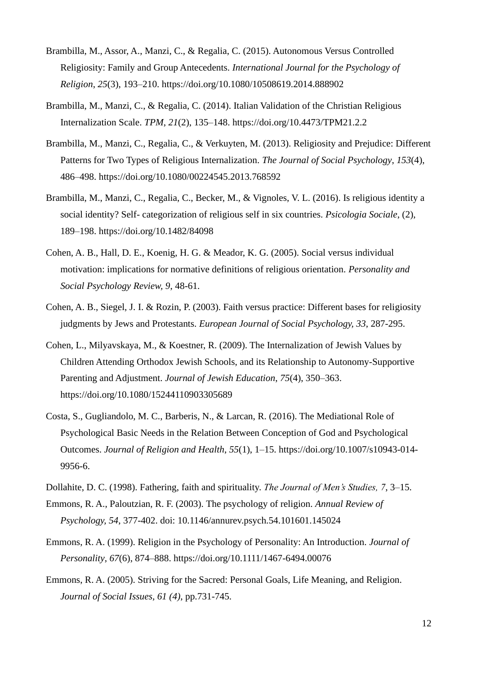- Brambilla, M., Assor, A., Manzi, C., & Regalia, C. (2015). Autonomous Versus Controlled Religiosity: Family and Group Antecedents. *International Journal for the Psychology of Religion*, *25*(3), 193–210. https://doi.org/10.1080/10508619.2014.888902
- Brambilla, M., Manzi, C., & Regalia, C. (2014). Italian Validation of the Christian Religious Internalization Scale. *TPM*, *21*(2), 135–148. https://doi.org/10.4473/TPM21.2.2
- Brambilla, M., Manzi, C., Regalia, C., & Verkuyten, M. (2013). Religiosity and Prejudice: Different Patterns for Two Types of Religious Internalization. *The Journal of Social Psychology*, *153*(4), 486–498. https://doi.org/10.1080/00224545.2013.768592
- Brambilla, M., Manzi, C., Regalia, C., Becker, M., & Vignoles, V. L. (2016). Is religious identity a social identity? Self- categorization of religious self in six countries. *Psicologia Sociale*, (2), 189–198. https://doi.org/10.1482/84098
- Cohen, A. B., Hall, D. E., Koenig, H. G. & Meador, K. G. (2005). Social versus individual motivation: implications for normative definitions of religious orientation. *Personality and Social Psychology Review, 9*, 48-61.
- Cohen, A. B., Siegel, J. I. & Rozin, P. (2003). Faith versus practice: Different bases for religiosity judgments by Jews and Protestants. *European Journal of Social Psychology, 33*, 287-295.
- Cohen, L., Milyavskaya, M., & Koestner, R. (2009). The Internalization of Jewish Values by Children Attending Orthodox Jewish Schools, and its Relationship to Autonomy-Supportive Parenting and Adjustment. *Journal of Jewish Education*, *75*(4), 350–363. https://doi.org/10.1080/15244110903305689
- Costa, S., Gugliandolo, M. C., Barberis, N., & Larcan, R. (2016). The Mediational Role of Psychological Basic Needs in the Relation Between Conception of God and Psychological Outcomes. *Journal of Religion and Health*, *55*(1), 1–15. https://doi.org/10.1007/s10943-014- 9956-6.
- Dollahite, D. C. (1998). Fathering, faith and spirituality. *The Journal of Men's Studies, 7*, 3–15.
- Emmons, R. A., Paloutzian, R. F. (2003). The psychology of religion. *Annual Review of Psychology, 54*, 377-402. doi: 10.1146/annurev.psych.54.101601.145024
- Emmons, R. A. (1999). Religion in the Psychology of Personality: An Introduction. *Journal of Personality*, *67*(6), 874–888. https://doi.org/10.1111/1467-6494.00076
- Emmons, R. A. (2005). Striving for the Sacred: Personal Goals, Life Meaning, and Religion. *Journal of Social Issues, 61 (4)*, pp.731-745.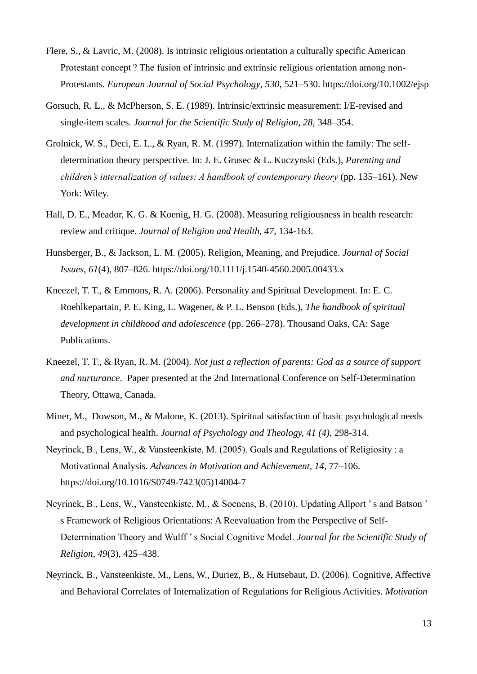- Flere, S., & Lavric, M. (2008). Is intrinsic religious orientation a culturally specific American Protestant concept ? The fusion of intrinsic and extrinsic religious orientation among non-Protestants. *European Journal of Social Psychology*, *530*, 521–530. https://doi.org/10.1002/ejsp
- Gorsuch, R. L., & McPherson, S. E. (1989). Intrinsic/extrinsic measurement: I/E-revised and single-item scales. *Journal for the Scientific Study of Religion, 28,* 348–354.
- Grolnick, W. S., Deci, E. L., & Ryan, R. M. (1997). Internalization within the family: The selfdetermination theory perspective. In: J. E. Grusec & L. Kuczynski (Eds.), *Parenting and children's internalization of values: A handbook of contemporary theory* (pp. 135–161). New York: Wiley.
- Hall, D. E., Meador, K. G. & Koenig, H. G. (2008). Measuring religiousness in health research: review and critique. *Journal of Religion and Health, 47*, 134-163.
- Hunsberger, B., & Jackson, L. M. (2005). Religion, Meaning, and Prejudice. *Journal of Social Issues*, *61*(4), 807–826. https://doi.org/10.1111/j.1540-4560.2005.00433.x
- Kneezel, T. T., & Emmons, R. A. (2006). Personality and Spiritual Development. In: E. C. Roehlkepartain, P. E. King, L. Wagener, & P. L. Benson (Eds.), *The handbook of spiritual development in childhood and adolescence* (pp. 266–278). Thousand Oaks, CA: Sage Publications.
- Kneezel, T. T., & Ryan, R. M. (2004). *Not just a reflection of parents: God as a source of support and nurturance*. Paper presented at the 2nd International Conference on Self-Determination Theory, Ottawa, Canada.
- Miner, M., Dowson, M., & Malone, K. (2013). Spiritual satisfaction of basic psychological needs and psychological health. *Journal of Psychology and Theology, 41 (4)*, 298-314.
- Neyrinck, B., Lens, W., & Vansteenkiste, M. (2005). Goals and Regulations of Religiosity : a Motivational Analysis. *Advances in Motivation and Achievement*, *14*, 77–106. https://doi.org/10.1016/S0749-7423(05)14004-7
- Neyrinck, B., Lens, W., Vansteenkiste, M., & Soenens, B. (2010). Updating Allport ' s and Batson ' s Framework of Religious Orientations: A Reevaluation from the Perspective of Self-Determination Theory and Wulff ' s Social Cognitive Model. *Journal for the Scientific Study of Religion*, *49*(3), 425–438.
- Neyrinck, B., Vansteenkiste, M., Lens, W., Duriez, B., & Hutsebaut, D. (2006). Cognitive, Affective and Behavioral Correlates of Internalization of Regulations for Religious Activities. *Motivation*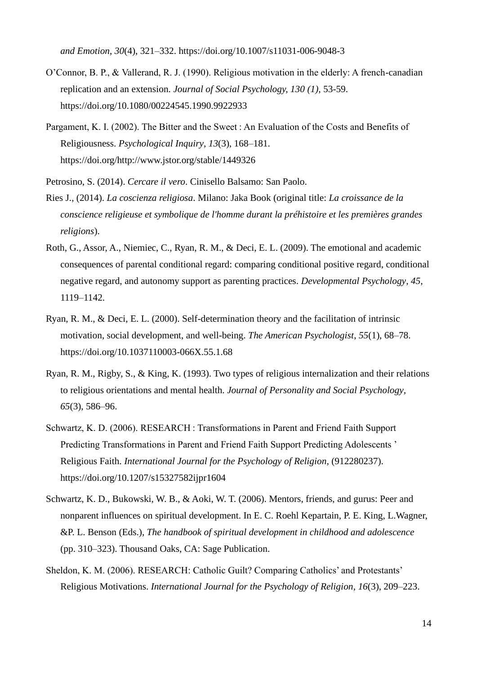*and Emotion*, *30*(4), 321–332. https://doi.org/10.1007/s11031-006-9048-3

- O'Connor, B. P., & Vallerand, R. J. (1990). Religious motivation in the elderly: A french-canadian replication and an extension. *Journal of Social Psychology, 130 (1)*, 53-59. https://doi.org/10.1080/00224545.1990.9922933
- Pargament, K. I. (2002). The Bitter and the Sweet : An Evaluation of the Costs and Benefits of Religiousness. *Psychological Inquiry*, *13*(3), 168–181. https://doi.org/http://www.jstor.org/stable/1449326
- Petrosino, S. (2014). *Cercare il vero*. Cinisello Balsamo: San Paolo.
- Ries J., (2014). *La coscienza religiosa*. Milano: Jaka Book (original title: *La croissance de la conscience religieuse et symbolique de l'homme durant la préhistoire et les premières grandes religions*).
- Roth, G., Assor, A., Niemiec, C., Ryan, R. M., & Deci, E. L. (2009). The emotional and academic consequences of parental conditional regard: comparing conditional positive regard, conditional negative regard, and autonomy support as parenting practices. *Developmental Psychology*, *45*, 1119–1142.
- Ryan, R. M., & Deci, E. L. (2000). Self-determination theory and the facilitation of intrinsic motivation, social development, and well-being. *The American Psychologist*, *55*(1), 68–78. https://doi.org/10.1037110003-066X.55.1.68
- Ryan, R. M., Rigby, S., & King, K. (1993). Two types of religious internalization and their relations to religious orientations and mental health. *Journal of Personality and Social Psychology*, *65*(3), 586–96.
- Schwartz, K. D. (2006). RESEARCH : Transformations in Parent and Friend Faith Support Predicting Transformations in Parent and Friend Faith Support Predicting Adolescents ' Religious Faith. *International Journal for the Psychology of Religion*, (912280237). https://doi.org/10.1207/s15327582ijpr1604
- Schwartz, K. D., Bukowski, W. B., & Aoki, W. T. (2006). Mentors, friends, and gurus: Peer and nonparent influences on spiritual development. In E. C. Roehl Kepartain, P. E. King, L.Wagner, &P. L. Benson (Eds.), *The handbook of spiritual development in childhood and adolescence*  (pp. 310–323). Thousand Oaks, CA: Sage Publication.
- Sheldon, K. M. (2006). RESEARCH: Catholic Guilt? Comparing Catholics' and Protestants' Religious Motivations. *International Journal for the Psychology of Religion*, *16*(3), 209–223.